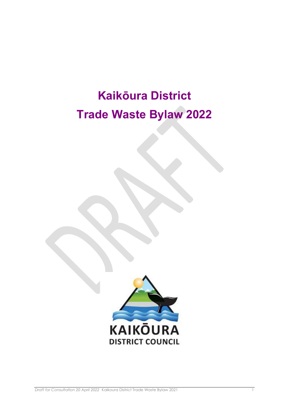# **Kaikōura District Trade Waste Bylaw 2022**

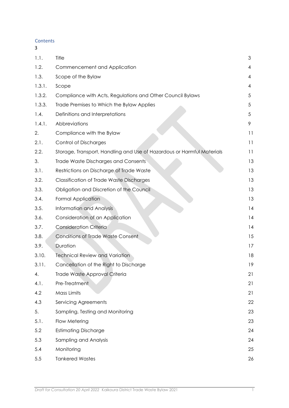**Contents** 

| 3      |                                                                        |    |
|--------|------------------------------------------------------------------------|----|
| 1.1.   | Title                                                                  | 3  |
| 1.2.   | Commencement and Application                                           | 4  |
| 1.3.   | Scope of the Bylaw                                                     | 4  |
| 1.3.1. | Scope                                                                  | 4  |
| 1.3.2. | Compliance with Acts, Regulations and Other Council Bylaws             | 5  |
| 1.3.3. | Trade Premises to Which the Bylaw Applies                              | 5  |
| 1.4.   | Definitions and Interpretations                                        | 5  |
| 1.4.1. | Abbreviations                                                          | 9  |
| 2.     | Compliance with the Bylaw                                              | 11 |
| 2.1.   | <b>Control of Discharges</b>                                           | 11 |
| 2.2.   | Storage, Transport, Handling and Use of Hazardous or Harmful Materials | 11 |
| 3.     | Trade Waste Discharges and Consents                                    | 13 |
| 3.1.   | Restrictions on Discharge of Trade Waste                               | 13 |
| 3.2.   | <b>Classification of Trade Waste Discharges</b>                        | 13 |
| 3.3.   | Obligation and Discretion of the Council                               | 13 |
| 3.4.   | Formal Application                                                     | 13 |
| 3.5.   | Information and Analysis                                               | 14 |
| 3.6.   | Consideration of an Application                                        | 14 |
| 3.7.   | <b>Consideration Criteria</b>                                          | 14 |
| 3.8.   | <b>Conditions of Trade Waste Consent</b>                               | 15 |
| 3.9.   | Duration                                                               | 17 |
| 3.10.  | <b>Technical Review and Variation</b>                                  | 18 |
| 3.11.  | Cancellation of the Right to Discharge                                 | 19 |
| 4.     | Trade Waste Approval Criteria                                          | 21 |
| 4.1.   | Pre-Treatment                                                          | 21 |
| 4.2    | Mass Limits                                                            | 21 |
| 4.3    | Servicing Agreements                                                   | 22 |
| 5.     | Sampling, Testing and Monitoring                                       | 23 |
| 5.1.   | Flow Metering                                                          | 23 |
| 5.2    | <b>Estimating Discharge</b>                                            | 24 |
| 5.3    | Sampling and Analysis                                                  | 24 |
| 5.4    | Monitoring                                                             | 25 |
| 5.5    | <b>Tankered Wastes</b>                                                 | 26 |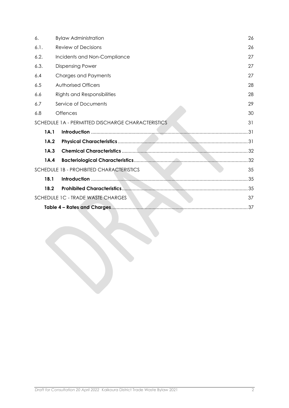| 6.   |                                         | <b>Bylaw Administration</b>                       |    |  |
|------|-----------------------------------------|---------------------------------------------------|----|--|
| 6.1. |                                         | Review of Decisions                               |    |  |
| 6.2. |                                         | Incidents and Non-Compliance                      |    |  |
| 6.3. |                                         | <b>Dispensing Power</b>                           | 27 |  |
| 6.4  |                                         | Charges and Payments                              | 27 |  |
| 6.5  |                                         | Authorised Officers                               | 28 |  |
| 6.6  |                                         | <b>Rights and Responsibilities</b>                | 28 |  |
| 6.7  |                                         | Service of Documents                              | 29 |  |
| 6.8  |                                         | <b>Offences</b>                                   | 30 |  |
|      |                                         | SCHEDULE 1A - PERMITTED DISCHARGE CHARACTERISTICS | 31 |  |
|      | 1A.1                                    |                                                   |    |  |
|      | 1A.2                                    |                                                   |    |  |
|      | 1A.3                                    |                                                   |    |  |
|      | 1A.4                                    |                                                   |    |  |
|      |                                         | SCHEDULE 1B - PROHIBITED CHARACTERISTICS          | 35 |  |
|      | 1B.1                                    |                                                   |    |  |
|      | 1B.2                                    |                                                   |    |  |
|      | SCHEDULE 1C - TRADE WASTE CHARGES<br>37 |                                                   |    |  |
|      | .37                                     |                                                   |    |  |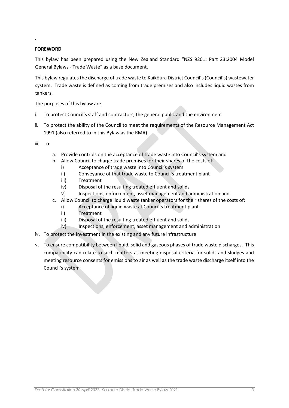## **FOREWORD**

.

This bylaw has been prepared using the New Zealand Standard "NZS 9201: Part 23:2004 Model General Bylaws - Trade Waste" as a base document.

This bylaw regulates the discharge of trade waste to Kaikōura District Council's (Council's) wastewater system. Trade waste is defined as coming from trade premises and also includes liquid wastes from tankers.

The purposes of this bylaw are:

- i. To protect Council's staff and contractors, the general public and the environment
- ii. To protect the ability of the Council to meet the requirements of the Resource Management Act 1991 (also referred to in this Bylaw as the RMA)

iii. To:

- a. Provide controls on the acceptance of trade waste into Council's system and
- b. Allow Council to charge trade premises for their shares of the costs of:
	- i) Acceptance of trade waste into Council's system
		- ii) Conveyance of that trade waste to Council's treatment plant
		- iii) Treatment
		- iv) Disposal of the resulting treated effluent and solids
	- v) Inspections, enforcement, asset management and administration and
- c. Allow Council to charge liquid waste tanker operators for their shares of the costs of:
	- i) Acceptance of liquid waste at Council's treatment plant
	- ii) Treatment
	- iii) Disposal of the resulting treated effluent and solids
	- iv) Inspections, enforcement, asset management and administration
- iv. To protect the investment in the existing and any future infrastructure
- v. To ensure compatibility between liquid, solid and gaseous phases of trade waste discharges. This compatibility can relate to such matters as meeting disposal criteria for solids and sludges and meeting resource consents for emissions to air as well as the trade waste discharge itself into the Council's system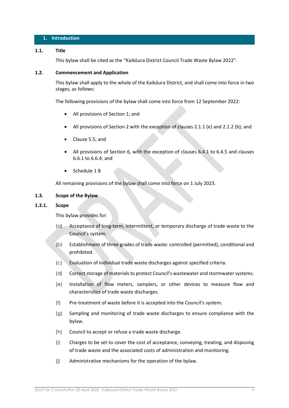## **1. Introduction**

#### <span id="page-4-0"></span>**1.1. Title**

This bylaw shall be cited as the "Kaikōura District Council Trade Waste Bylaw 2022".

#### <span id="page-4-1"></span>**1.2. Commencement and Application**

This bylaw shall apply to the whole of the Kaikōura District, and shall come into force in two stages, as follows:

The following provisions of the bylaw shall come into force from 12 September 2022:

- All provisions of Section 1; and
- All provisions of Section 2 with the exception of clauses 2.1.1 (e) and 2.1.2 (b); and
- Clause 5.5; and
- All provisions of Section 6, with the exception of clauses 6.4.1 to 6.4.5 and clauses 6.6.1 to 6.6.4; and
- Schedule 1 B

All remaining provisions of the bylaw shall come into force on 1 July 2023.

#### <span id="page-4-2"></span>**1.3. Scope of the Bylaw**

## <span id="page-4-3"></span>**1.3.1. Scope**

This bylaw provides for:

- (a) Acceptance of long-term, intermittent, or temporary discharge of trade waste to the Council's system.
- (b) Establishment of three grades of trade waste: controlled (permitted), conditional and prohibited.
- (c) Evaluation of individual trade waste discharges against specified criteria.
- (d) Correct storage of materials to protect Council's wastewater and stormwater systems.
- (e) Installation of flow meters, samplers, or other devices to measure flow and characteristics of trade waste discharges.
- (f) Pre-treatment of waste before it is accepted into the Council's system.
- (g) Sampling and monitoring of trade waste discharges to ensure compliance with the bylaw.
- (h) Council to accept or refuse a trade waste discharge.
- (i) Charges to be set to cover the cost of acceptance, conveying, treating, and disposing of trade waste and the associated costs of administration and monitoring.
- (j) Administrative mechanisms for the operation of the bylaw.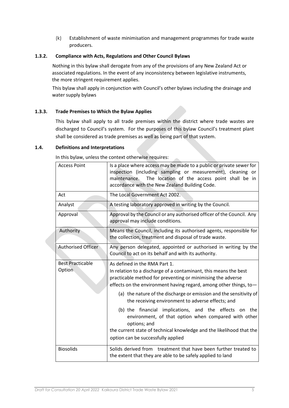(k) Establishment of waste minimisation and management programmes for trade waste producers.

## <span id="page-5-0"></span>**1.3.2. Compliance with Acts, Regulations and Other Council Bylaws**

Nothing in this bylaw shall derogate from any of the provisions of any New Zealand Act or associated regulations. In the event of any inconsistency between legislative instruments, the more stringent requirement applies.

This bylaw shall apply in conjunction with Council's other bylaws including the drainage and water supply bylaws

## <span id="page-5-1"></span>**1.3.3. Trade Premises to Which the Bylaw Applies**

This bylaw shall apply to all trade premises within the district where trade wastes are discharged to Council's system. For the purposes of this bylaw Council's treatment plant shall be considered as trade premises as well as being part of that system.

## <span id="page-5-2"></span>**1.4. Definitions and Interpretations**

In this bylaw, unless the context otherwise requires:

| <b>Access Point</b>               | Is a place where access may be made to a public or private sewer for<br>inspection (including sampling or measurement), cleaning or<br>The location of the access point shall be in<br>maintenance.<br>accordance with the New Zealand Building Code.                                                                                                                                                                                                                                                                                                                                                            |  |  |
|-----------------------------------|------------------------------------------------------------------------------------------------------------------------------------------------------------------------------------------------------------------------------------------------------------------------------------------------------------------------------------------------------------------------------------------------------------------------------------------------------------------------------------------------------------------------------------------------------------------------------------------------------------------|--|--|
| Act                               | The Local Government Act 2002.                                                                                                                                                                                                                                                                                                                                                                                                                                                                                                                                                                                   |  |  |
| Analyst                           | A testing laboratory approved in writing by the Council.                                                                                                                                                                                                                                                                                                                                                                                                                                                                                                                                                         |  |  |
| Approval                          | Approval by the Council or any authorised officer of the Council. Any<br>approval may include conditions.                                                                                                                                                                                                                                                                                                                                                                                                                                                                                                        |  |  |
| Authority                         | Means the Council, including its authorised agents, responsible for<br>the collection, treatment and disposal of trade waste.                                                                                                                                                                                                                                                                                                                                                                                                                                                                                    |  |  |
| <b>Authorised Officer</b>         | Any person delegated, appointed or authorised in writing by the<br>Council to act on its behalf and with its authority.                                                                                                                                                                                                                                                                                                                                                                                                                                                                                          |  |  |
| <b>Best Practicable</b><br>Option | As defined in the RMA Part 1.<br>In relation to a discharge of a contaminant, this means the best<br>practicable method for preventing or minimising the adverse<br>effects on the environment having regard, among other things, to-<br>(a) the nature of the discharge or emission and the sensitivity of<br>the receiving environment to adverse effects; and<br>(b) the financial implications, and the effects on the<br>environment, of that option when compared with other<br>options; and<br>the current state of technical knowledge and the likelihood that the<br>option can be successfully applied |  |  |
| <b>Biosolids</b>                  | Solids derived from treatment that have been further treated to<br>the extent that they are able to be safely applied to land                                                                                                                                                                                                                                                                                                                                                                                                                                                                                    |  |  |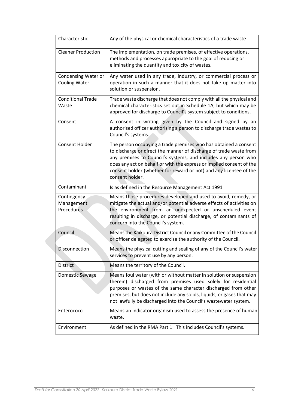| Characteristic                              | Any of the physical or chemical characteristics of a trade waste                                                                                                                                                                                                                                                                                                          |
|---------------------------------------------|---------------------------------------------------------------------------------------------------------------------------------------------------------------------------------------------------------------------------------------------------------------------------------------------------------------------------------------------------------------------------|
| <b>Cleaner Production</b>                   | The implementation, on trade premises, of effective operations,<br>methods and processes appropriate to the goal of reducing or<br>eliminating the quantity and toxicity of wastes.                                                                                                                                                                                       |
| Condensing Water or<br><b>Cooling Water</b> | Any water used in any trade, industry, or commercial process or<br>operation in such a manner that it does not take up matter into<br>solution or suspension.                                                                                                                                                                                                             |
| <b>Conditional Trade</b><br>Waste           | Trade waste discharge that does not comply with all the physical and<br>chemical characteristics set out in Schedule 1A, but which may be<br>approved for discharge to Council's system subject to conditions.                                                                                                                                                            |
| Consent                                     | A consent in writing given by the Council and signed by an<br>authorised officer authorising a person to discharge trade wastes to<br>Council's systems.                                                                                                                                                                                                                  |
| <b>Consent Holder</b>                       | The person occupying a trade premises who has obtained a consent<br>to discharge or direct the manner of discharge of trade waste from<br>any premises to Council's systems, and includes any person who<br>does any act on behalf or with the express or implied consent of the<br>consent holder (whether for reward or not) and any licensee of the<br>consent holder. |
| Contaminant                                 | Is as defined in the Resource Management Act 1991                                                                                                                                                                                                                                                                                                                         |
| Contingency                                 |                                                                                                                                                                                                                                                                                                                                                                           |
| Management<br>Procedures                    | Means those procedures developed and used to avoid, remedy, or<br>mitigate the actual and/or potential adverse effects of activities on<br>the environment from an unexpected or unscheduled event<br>resulting in discharge, or potential discharge, of contaminants of<br>concern into the Council's system.                                                            |
| Council                                     | Means the Kaikoura District Council or any Committee of the Council<br>or officer delegated to exercise the authority of the Council.                                                                                                                                                                                                                                     |
| Disconnection                               | Means the physical cutting and sealing of any of the Council's water<br>services to prevent use by any person.                                                                                                                                                                                                                                                            |
| <b>District</b>                             | Means the territory of the Council.                                                                                                                                                                                                                                                                                                                                       |
| Domestic Sewage                             | Means foul water (with or without matter in solution or suspension<br>therein) discharged from premises used solely for residential<br>purposes or wastes of the same character discharged from other<br>premises, but does not include any solids, liquids, or gases that may<br>not lawfully be discharged into the Council's wastewater system.                        |
| Enterococci                                 | Means an indicator organism used to assess the presence of human<br>waste.                                                                                                                                                                                                                                                                                                |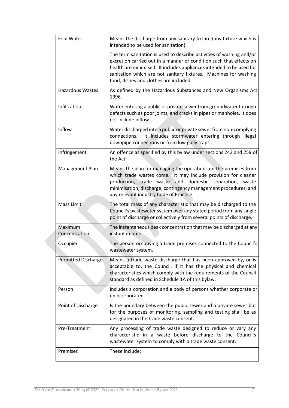| Foul Water               | Means the discharge from any sanitary fixture (any fixture which is<br>intended to be used for sanitation).                                                                                                                                                                                                                       |  |  |
|--------------------------|-----------------------------------------------------------------------------------------------------------------------------------------------------------------------------------------------------------------------------------------------------------------------------------------------------------------------------------|--|--|
|                          | The term sanitation is used to describe activities of washing and/or<br>excretion carried out in a manner or condition such that effects on<br>health are minimised. It includes appliances intended to be used for<br>sanitation which are not sanitary fixtures. Machines for washing<br>food, dishes and clothes are included. |  |  |
| <b>Hazardous Wastes</b>  | As defined by the Hazardous Substances and New Organisms Act<br>1996.                                                                                                                                                                                                                                                             |  |  |
| Infiltration             | Water entering a public or private sewer from groundwater through<br>defects such as poor joints, and cracks in pipes or manholes. It does<br>not include inflow.                                                                                                                                                                 |  |  |
| Inflow                   | Water discharged into a public or private sewer from non-complying<br>It includes stormwater entering through illegal<br>connections.<br>downpipe connections or from low gully traps.                                                                                                                                            |  |  |
| Infringement             | An offence as specified by this bylaw under sections 243 and 259 of<br>the Act.                                                                                                                                                                                                                                                   |  |  |
| Management Plan          | Means the plan for managing the operations on the premises from<br>which trade wastes come. It may include provision for cleaner<br>production, trade waste and domestic separation, waste<br>minimisation, discharge, contingency management procedures, and<br>any relevant industry Code of Practice.                          |  |  |
| Mass Limit               | The total mass of any characteristic that may be discharged to the<br>Council's wastewater system over any stated period from any single<br>point of discharge or collectively from several points of discharge.                                                                                                                  |  |  |
| Maximum<br>Concentration | The instantaneous peak concentration that may be discharged at any<br>instant in time.                                                                                                                                                                                                                                            |  |  |
| Occupier                 | The person occupying a trade premises connected to the Council's<br>wastewater system                                                                                                                                                                                                                                             |  |  |
| Permitted Discharge      | Means a trade waste discharge that has been approved by, or is<br>acceptable to, the Council, if it has the physical and chemical<br>characteristics which comply with the requirements of the Council<br>standard as defined in Schedule 1A of this bylaw.                                                                       |  |  |
| Person                   | Includes a corporation and a body of persons whether corporate or<br>unincorporated.                                                                                                                                                                                                                                              |  |  |
| Point of Discharge       | Is the boundary between the public sewer and a private sewer but<br>for the purposes of monitoring, sampling and testing shall be as<br>designated in the trade waste consent.                                                                                                                                                    |  |  |
| Pre-Treatment            | Any processing of trade waste designed to reduce or vary any<br>characteristic in a waste before discharge to the Council's<br>wastewater system to comply with a trade waste consent.                                                                                                                                            |  |  |
| Premises                 | These include:                                                                                                                                                                                                                                                                                                                    |  |  |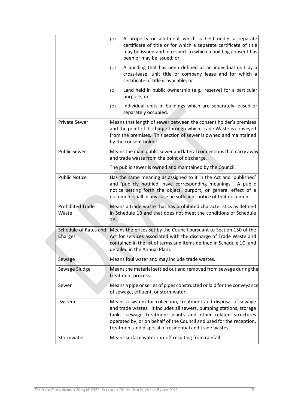|                                  | A property or allotment which is held under a separate<br>(a)<br>certificate of title or for which a separate certificate of title<br>may be issued and in respect to which a building consent has<br>been or may be issued; or                                                                                                          |  |  |
|----------------------------------|------------------------------------------------------------------------------------------------------------------------------------------------------------------------------------------------------------------------------------------------------------------------------------------------------------------------------------------|--|--|
|                                  | A building that has been defined as an individual unit by a<br>(b)<br>cross-lease, unit title or company lease and for which a<br>certificate of title is available; or                                                                                                                                                                  |  |  |
|                                  | Land held in public ownership (e.g., reserve) for a particular<br>(c)<br>purpose; or                                                                                                                                                                                                                                                     |  |  |
|                                  | Individual units in buildings which are separately leased or<br>(d)<br>separately occupied.                                                                                                                                                                                                                                              |  |  |
| <b>Private Sewer</b>             | Means that length of sewer between the consent holder's premises<br>and the point of discharge through which Trade Waste is conveyed<br>from the premises. This section of sewer is owned and maintained<br>by the consent holder.                                                                                                       |  |  |
| <b>Public Sewer</b>              | Means the main public sewer and lateral connections that carry away<br>and trade waste from the point of discharge.                                                                                                                                                                                                                      |  |  |
|                                  | The public sewer is owned and maintained by the Council.                                                                                                                                                                                                                                                                                 |  |  |
| <b>Public Notice</b>             | Has the same meaning as assigned to it in the Act and 'published'<br>and 'publicly notified' have corresponding meanings. A public<br>notice setting forth the object, purport, or general effect of a<br>document shall in any case be sufficient notice of that document.                                                              |  |  |
| <b>Prohibited Trade</b><br>Waste | Means a trade waste that has prohibited characteristics as defined<br>in Schedule 1B and that does not meet the conditions of Schedule<br>1A.                                                                                                                                                                                            |  |  |
| Schedule of Rates and<br>Charges | Means the prices set by the Council pursuant to Section 150 of the<br>Act for services associated with the discharge of Trade Waste and<br>contained in the list of terms and items defined in Schedule 1C (and<br>detailed in the Annual Plan).                                                                                         |  |  |
| Sewage                           | Means foul water and may include trade wastes.                                                                                                                                                                                                                                                                                           |  |  |
| Sewage Sludge                    | Means the material settled out and removed from sewage during the<br>treatment process.                                                                                                                                                                                                                                                  |  |  |
| Sewer                            | Means a pipe or series of pipes constructed or laid for the conveyance<br>of sewage, effluent, or stormwater.                                                                                                                                                                                                                            |  |  |
| System                           | Means a system for collection, treatment and disposal of sewage<br>and trade wastes. It includes all sewers, pumping stations, storage<br>tanks, sewage treatment plants and other related structures<br>operated by, or on behalf of the Council and used for the reception,<br>treatment and disposal of residential and trade wastes. |  |  |
| Stormwater                       | Means surface water run-off resulting from rainfall                                                                                                                                                                                                                                                                                      |  |  |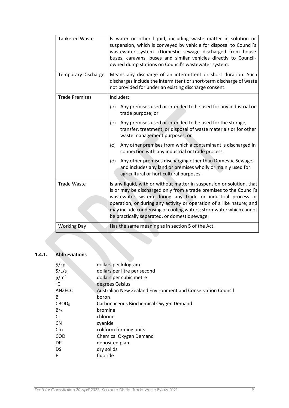| <b>Tankered Waste</b>      | Is water or other liquid, including waste matter in solution or<br>suspension, which is conveyed by vehicle for disposal to Council's<br>wastewater system. (Domestic sewage discharged from house<br>buses, caravans, buses and similar vehicles directly to Council-<br>owned dump stations on Council's wastewater system. |  |  |  |
|----------------------------|-------------------------------------------------------------------------------------------------------------------------------------------------------------------------------------------------------------------------------------------------------------------------------------------------------------------------------|--|--|--|
| <b>Temporary Discharge</b> | Means any discharge of an intermittent or short duration. Such<br>discharges include the intermittent or short-term discharge of waste<br>not provided for under an existing discharge consent.                                                                                                                               |  |  |  |
| <b>Trade Premises</b>      | Includes:                                                                                                                                                                                                                                                                                                                     |  |  |  |
|                            | Any premises used or intended to be used for any industrial or<br>(a)<br>trade purpose; or                                                                                                                                                                                                                                    |  |  |  |
|                            | Any premises used or intended to be used for the storage,<br>(b)<br>transfer, treatment, or disposal of waste materials or for other<br>waste management purposes; or                                                                                                                                                         |  |  |  |
|                            | Any other premises from which a contaminant is discharged in<br>$\left( \mathrm{c}\right)$<br>connection with any industrial or trade process.                                                                                                                                                                                |  |  |  |
|                            | Any other premises discharging other than Domestic Sewage;<br>(d)<br>and includes any land or premises wholly or mainly used for<br>agricultural or horticultural purposes.                                                                                                                                                   |  |  |  |
| <b>Trade Waste</b>         | Is any liquid, with or without matter in suspension or solution, that                                                                                                                                                                                                                                                         |  |  |  |
|                            | is or may be discharged only from a trade premises to the Council's<br>wastewater system during any trade or industrial process or                                                                                                                                                                                            |  |  |  |
|                            | operation, or during any activity or operation of a like nature; and                                                                                                                                                                                                                                                          |  |  |  |
|                            | may include condensing or cooling waters; stormwater which cannot<br>be practically separated, or domestic sewage.                                                                                                                                                                                                            |  |  |  |
| <b>Working Day</b>         | Has the same meaning as in section 5 of the Act.                                                                                                                                                                                                                                                                              |  |  |  |

# <span id="page-9-0"></span>**1.4.1. Abbreviations**

| $\frac{1}{2}$ /kg         | dollars per kilogram                                        |
|---------------------------|-------------------------------------------------------------|
| $\frac{1}{2}/\frac{L}{s}$ | dollars per litre per second                                |
| $\frac{\xi}{m^3}$         | dollars per cubic metre                                     |
| $^{\circ}$ C              | degrees Celsius                                             |
| ANZECC                    | Australian New Zealand Environment and Conservation Council |
| B                         | boron                                                       |
| CBOD <sub>5</sub>         | Carbonaceous Biochemical Oxygen Demand                      |
| Br <sub>2</sub>           | bromine                                                     |
| CI.                       | chlorine                                                    |
| <b>CN</b>                 | cyanide                                                     |
| Cfu                       | coliform forming units                                      |
| <b>COD</b>                | Chemical Oxygen Demand                                      |
| DP.                       | deposited plan                                              |
| <b>DS</b>                 | dry solids                                                  |
| F                         | fluoride                                                    |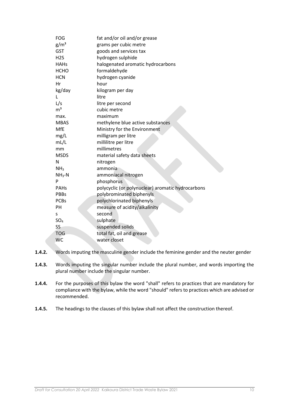| <b>FOG</b>       | fat and/or oil and/or grease                      |
|------------------|---------------------------------------------------|
| $g/m^3$          | grams per cubic metre                             |
| <b>GST</b>       | goods and services tax                            |
| H <sub>2</sub> S | hydrogen sulphide                                 |
| <b>HAHs</b>      | halogenated aromatic hydrocarbons                 |
| <b>HCHO</b>      | formaldehyde                                      |
| <b>HCN</b>       | hydrogen cyanide                                  |
| Hr               | hour                                              |
| kg/day           | kilogram per day                                  |
| L                | litre                                             |
| L/s              | litre per second                                  |
| m <sup>3</sup>   | cubic metre                                       |
| max.             | maximum                                           |
| <b>MBAS</b>      | methylene blue active substances                  |
| MfE              | Ministry for the Environment                      |
| mg/L             | milligram per litre                               |
| mL/L             | millilitre per litre                              |
| mm               | millimetres                                       |
| <b>MSDS</b>      | material safety data sheets                       |
| N                | nitrogen                                          |
| NH <sub>3</sub>  | ammonia                                           |
| $NH3-N$          | ammoniacal nitrogen                               |
| P                | phosphorus                                        |
| <b>PAHs</b>      | polycyclic (or polynuclear) aromatic hydrocarbons |
| <b>PBBs</b>      | polybrominated biphenyls                          |
| <b>PCBs</b>      | polychlorinated biphenyls                         |
| PH               | measure of acidity/alkalinity                     |
| S                | second                                            |
| SO <sub>4</sub>  | sulphate                                          |
| SS               | suspended solids                                  |
| <b>TOG</b>       | total fat, oil and grease                         |
| <b>WC</b>        | water closet                                      |

- **1.4.2.** Words imputing the masculine gender include the feminine gender and the neuter gender
- **1.4.3.** Words imputing the singular number include the plural number, and words importing the plural number include the singular number.
- **1.4.4.** For the purposes of this bylaw the word "shall" refers to practices that are mandatory for compliance with the bylaw, while the word "should" refers to practices which are advised or recommended.
- **1.4.5.** The headings to the clauses of this bylaw shall not affect the construction thereof.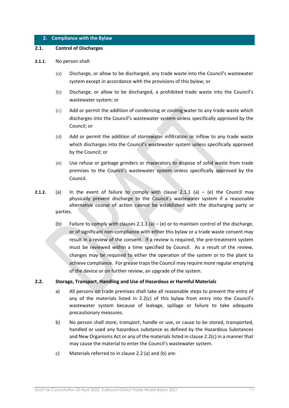## <span id="page-11-0"></span>**2. Compliance with the Bylaw**

## <span id="page-11-1"></span>**2.1. Control of Discharges**

#### **2.1.1.** No person shall:

- (a) Discharge, or allow to be discharged, any trade waste into the Council's wastewater system except in accordance with the provisions of this bylaw; or
- (b) Discharge, or allow to be discharged, a prohibited trade waste into the Council's wastewater system; or
- (c) Add or permit the addition of condensing or cooling water to any trade waste which discharges into the Council's wastewater system unless specifically approved by the Council; or
- (d) Add or permit the addition of stormwater infiltration or inflow to any trade waste which discharges into the Council's wastewater system unless specifically approved by the Council; or
- (e) Use refuse or garbage grinders or macerators to dispose of solid waste from trade premises to the Council's wastewater system unless specifically approved by the Council.
- **2.1.2.** (a) In the event of failure to comply with clause  $2.1.1$  (a) (e) the Council may physically prevent discharge to the Council's wastewater system if a reasonable alternative course of action cannot be established with the discharging party or parties.
	- (b) Failure to comply with clauses 2.1.1 (a) (e) or to maintain control of the discharge, or of significant non-compliance with either this bylaw or a trade waste consent may result in a review of the consent. If a review is required, the pre-treatment system must be reviewed within a time specified by Council. As a result of the review, changes may be required to either the operation of the system or to the plant to achieve compliance. For grease traps the Council may require more regular emptying of the device or on further review, an upgrade of the system.

## <span id="page-11-2"></span>**2.2. Storage, Transport, Handling and Use of Hazardous or Harmful Materials**

- a) All persons on trade premises shall take all reasonable steps to prevent the entry of any of the materials listed in 2.2(c) of this bylaw from entry into the Council's wastewater system because of leakage, spillage or failure to take adequate precautionary measures.
- b) No person shall store, transport, handle or use, or cause to be stored, transported, handled or used any hazardous substance as defined by the Hazardous Substances and New Organisms Act or any of the materials listed in clause 2.2(c) in a manner that may cause the material to enter the Council's wastewater system.
- c) Materials referred to in clause 2.2 (a) and (b) are: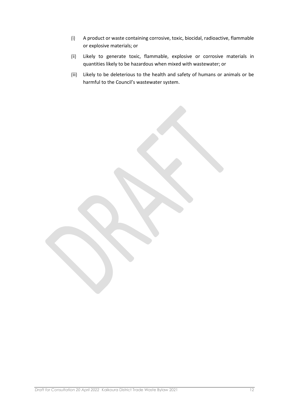- (i) A product or waste containing corrosive, toxic, biocidal, radioactive, flammable or explosive materials; or
- (ii) Likely to generate toxic, flammable, explosive or corrosive materials in quantities likely to be hazardous when mixed with wastewater; or
- (iii) Likely to be deleterious to the health and safety of humans or animals or be harmful to the Council's wastewater system.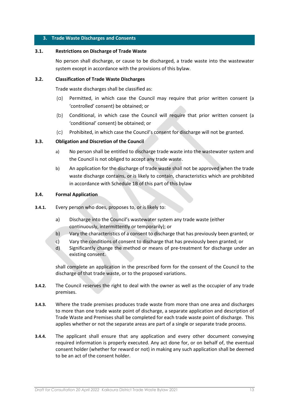## <span id="page-13-0"></span>**3. Trade Waste Discharges and Consents**

## **3.1. Restrictions on Discharge of Trade Waste**

<span id="page-13-1"></span>No person shall discharge, or cause to be discharged, a trade waste into the wastewater system except in accordance with the provisions of this bylaw.

## <span id="page-13-2"></span>**3.2. Classification of Trade Waste Discharges**

Trade waste discharges shall be classified as:

- (a) Permitted, in which case the Council may require that prior written consent (a 'controlled' consent) be obtained; or
- (b) Conditional, in which case the Council will require that prior written consent (a 'conditional' consent) be obtained; or
- (c) Prohibited, in which case the Council's consent for discharge will not be granted.

## <span id="page-13-3"></span>**3.3. Obligation and Discretion of the Council**

- a) No person shall be entitled to discharge trade waste into the wastewater system and the Council is not obliged to accept any trade waste.
- b) An application for the discharge of trade waste shall not be approved when the trade waste discharge contains, or is likely to contain, characteristics which are prohibited in accordance with Schedule 1B of this part of this bylaw

## <span id="page-13-4"></span>**3.4. Formal Application**

- **3.4.1.** Every person who does, proposes to, or is likely to:
	- a) Discharge into the Council's wastewater system any trade waste (either continuously, intermittently or temporarily); or
	- b) Vary the characteristics of a consent to discharge that has previously been granted; or
	- c) Vary the conditions of consent to discharge that has previously been granted; or
	- d) Significantly change the method or means of pre-treatment for discharge under an existing consent.

shall complete an application in the prescribed form for the consent of the Council to the discharge of that trade waste, or to the proposed variations.

- **3.4.2.** The Council reserves the right to deal with the owner as well as the occupier of any trade premises.
- **3.4.3.** Where the trade premises produces trade waste from more than one area and discharges to more than one trade waste point of discharge, a separate application and description of Trade Waste and Premises shall be completed for each trade waste point of discharge. This applies whether or not the separate areas are part of a single or separate trade process.
- **3.4.4.** The applicant shall ensure that any application and every other document conveying required information is properly executed. Any act done for, or on behalf of, the eventual consent holder (whether for reward or not) in making any such application shall be deemed to be an act of the consent holder.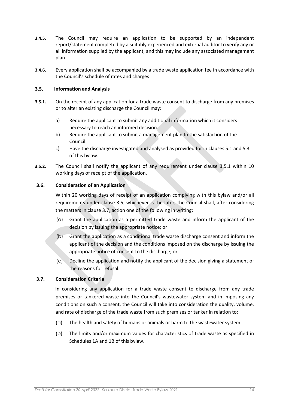- **3.4.5.** The Council may require an application to be supported by an independent report/statement completed by a suitably experienced and external auditor to verify any or all information supplied by the applicant, and this may include any associated management plan.
- **3.4.6.** Every application shall be accompanied by a trade waste application fee in accordance with the Council's schedule of rates and charges

## <span id="page-14-0"></span>**3.5. Information and Analysis**

- **3.5.1.** On the receipt of any application for a trade waste consent to discharge from any premises or to alter an existing discharge the Council may:
	- a) Require the applicant to submit any additional information which it considers necessary to reach an informed decision.
	- b) Require the applicant to submit a management plan to the satisfaction of the Council.
	- c) Have the discharge investigated and analysed as provided for in clauses 5.1 and 5.3 of this bylaw.
- **3.5.2.** The Council shall notify the applicant of any requirement under clause 3.5.1 within 10 working days of receipt of the application.

## <span id="page-14-1"></span>**3.6. Consideration of an Application**

Within 20 working days of receipt of an application complying with this bylaw and/or all requirements under clause 3.5, whichever is the later, the Council shall, after considering the matters in clause 3.7, action one of the following in writing:

- (a) Grant the application as a permitted trade waste and inform the applicant of the decision by issuing the appropriate notice; or
- (b) Grant the application as a conditional trade waste discharge consent and inform the applicant of the decision and the conditions imposed on the discharge by issuing the appropriate notice of consent to the discharge; or
- (c) Decline the application and notify the applicant of the decision giving a statement of the reasons for refusal.

## <span id="page-14-2"></span>**3.7. Consideration Criteria**

In considering any application for a trade waste consent to discharge from any trade premises or tankered waste into the Council's wastewater system and in imposing any conditions on such a consent, the Council will take into consideration the quality, volume, and rate of discharge of the trade waste from such premises or tanker in relation to:

- (a) The health and safety of humans or animals or harm to the wastewater system.
- (b) The limits and/or maximum values for characteristics of trade waste as specified in Schedules 1A and 1B of this bylaw.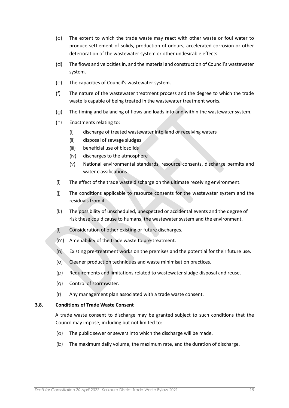- (c) The extent to which the trade waste may react with other waste or foul water to produce settlement of solids, production of odours, accelerated corrosion or other deterioration of the wastewater system or other undesirable effects.
- (d) The flows and velocities in, and the material and construction of Council's wastewater system.
- (e) The capacities of Council's wastewater system.
- (f) The nature of the wastewater treatment process and the degree to which the trade waste is capable of being treated in the wastewater treatment works.
- (g) The timing and balancing of flows and loads into and within the wastewater system.
- (h) Enactments relating to:
	- (i) discharge of treated wastewater into land or receiving waters
	- (ii) disposal of sewage sludges
	- (iii) beneficial use of biosolids
	- (iv) discharges to the atmosphere
	- (v) National environmental standards, resource consents, discharge permits and water classifications
- (i) The effect of the trade waste discharge on the ultimate receiving environment.
- (j) The conditions applicable to resource consents for the wastewater system and the residuals from it.
- (k) The possibility of unscheduled, unexpected or accidental events and the degree of risk these could cause to humans, the wastewater system and the environment.
- (l) Consideration of other existing or future discharges.
- (m) Amenability of the trade waste to pre-treatment.
- (n) Existing pre-treatment works on the premises and the potential for their future use.
- (o) Cleaner production techniques and waste minimisation practices.
- (p) Requirements and limitations related to wastewater sludge disposal and reuse.
- (q) Control of stormwater.
- (r) Any management plan associated with a trade waste consent.

## <span id="page-15-0"></span>**3.8. Conditions of Trade Waste Consent**

A trade waste consent to discharge may be granted subject to such conditions that the Council may impose, including but not limited to:

- (a) The public sewer or sewers into which the discharge will be made.
- (b) The maximum daily volume, the maximum rate, and the duration of discharge.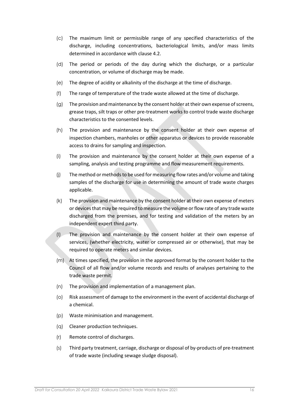- (c) The maximum limit or permissible range of any specified characteristics of the discharge, including concentrations, bacteriological limits, and/or mass limits determined in accordance with clause 4.2.
- (d) The period or periods of the day during which the discharge, or a particular concentration, or volume of discharge may be made.
- (e) The degree of acidity or alkalinity of the discharge at the time of discharge.
- (f) The range of temperature of the trade waste allowed at the time of discharge.
- (g) The provision and maintenance by the consent holder at their own expense of screens, grease traps, silt traps or other pre-treatment works to control trade waste discharge characteristics to the consented levels.
- (h) The provision and maintenance by the consent holder at their own expense of inspection chambers, manholes or other apparatus or devices to provide reasonable access to drains for sampling and inspection.
- (i) The provision and maintenance by the consent holder at their own expense of a sampling, analysis and testing programme and flow measurement requirements.
- (j) The method or methods to be used for measuring flow rates and/or volume and taking samples of the discharge for use in determining the amount of trade waste charges applicable.
- (k) The provision and maintenance by the consent holder at their own expense of meters or devices that may be required to measure the volume or flow rate of any trade waste discharged from the premises, and for testing and validation of the meters by an independent expert third party.
- (l) The provision and maintenance by the consent holder at their own expense of services, (whether electricity, water or compressed air or otherwise), that may be required to operate meters and similar devices.
- (m) At times specified, the provision in the approved format by the consent holder to the Council of all flow and/or volume records and results of analyses pertaining to the trade waste permit.
- (n) The provision and implementation of a management plan.
- (o) Risk assessment of damage to the environment in the event of accidental discharge of a chemical.
- (p) Waste minimisation and management.
- (q) Cleaner production techniques.
- (r) Remote control of discharges.
- (s) Third party treatment, carriage, discharge or disposal of by-products of pre-treatment of trade waste (including sewage sludge disposal).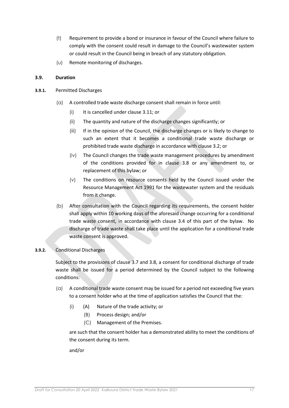- (t) Requirement to provide a bond or insurance in favour of the Council where failure to comply with the consent could result in damage to the Council's wastewater system or could result in the Council being in breach of any statutory obligation.
- (u) Remote monitoring of discharges.

## <span id="page-17-0"></span>**3.9. Duration**

- **3.9.1.** Permitted Discharges
	- (a) A controlled trade waste discharge consent shall remain in force until:
		- (i) It is cancelled under clause 3.11; or
		- (ii) The quantity and nature of the discharge changes significantly; or
		- (iii) If in the opinion of the Council, the discharge changes or is likely to change to such an extent that it becomes a conditional trade waste discharge or prohibited trade waste discharge in accordance with clause 3.2; or
		- (iv) The Council changes the trade waste management procedures by amendment of the conditions provided for in clause 3.8 or any amendment to, or replacement of this bylaw; or
		- (v) The conditions on resource consents held by the Council issued under the Resource Management Act 1991 for the wastewater system and the residuals from it change.
	- (b) After consultation with the Council regarding its requirements, the consent holder shall apply within 10 working days of the aforesaid change occurring for a conditional trade waste consent, in accordance with clause 3.4 of this part of the bylaw. No discharge of trade waste shall take place until the application for a conditional trade waste consent is approved.

## **3.9.2.** Conditional Discharges

Subject to the provisions of clause 3.7 and 3.8, a consent for conditional discharge of trade waste shall be issued for a period determined by the Council subject to the following conditions:

- (a) A conditional trade waste consent may be issued for a period not exceeding five years to a consent holder who at the time of application satisfies the Council that the:
	- (i) (A) Nature of the trade activity; or
		- (B) Process design; and/or
		- (C) Management of the Premises.

are such that the consent holder has a demonstrated ability to meet the conditions of the consent during its term.

and/or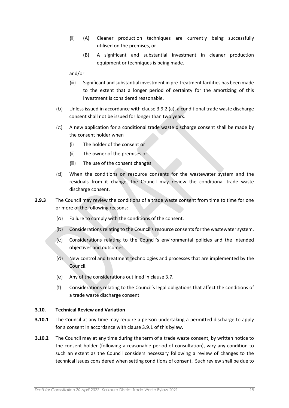- (ii) (A) Cleaner production techniques are currently being successfully utilised on the premises, or
	- (B) A significant and substantial investment in cleaner production equipment or techniques is being made.

and/or

- (iii) Significant and substantial investment in pre-treatment facilities has been made to the extent that a longer period of certainty for the amortizing of this investment is considered reasonable.
- (b) Unless issued in accordance with clause 3.9.2 (a), a conditional trade waste discharge consent shall not be issued for longer than two years.
- (c) A new application for a conditional trade waste discharge consent shall be made by the consent holder when
	- (i) The holder of the consent or
	- (ii) The owner of the premises or
	- (iii) The use of the consent changes
- (d) When the conditions on resource consents for the wastewater system and the residuals from it change, the Council may review the conditional trade waste discharge consent.
- **3.9.3** The Council may review the conditions of a trade waste consent from time to time for one or more of the following reasons:
	- (a) Failure to comply with the conditions of the consent.
	- (b) Considerations relating to the Council's resource consents for the wastewatersystem.
	- (c) Considerations relating to the Council's environmental policies and the intended objectives and outcomes.
	- (d) New control and treatment technologies and processes that are implemented by the Council.
	- (e) Any of the considerations outlined in clause 3.7.
	- (f) Considerations relating to the Council's legal obligations that affect the conditions of a trade waste discharge consent.

## <span id="page-18-0"></span>**3.10. Technical Review and Variation**

- **3.10.1** The Council at any time may require a person undertaking a permitted discharge to apply for a consent in accordance with clause 3.9.1 of this bylaw.
- **3.10.2** The Council may at any time during the term of a trade waste consent, by written notice to the consent holder (following a reasonable period of consultation), vary any condition to such an extent as the Council considers necessary following a review of changes to the technical issues considered when setting conditions of consent. Such review shall be due to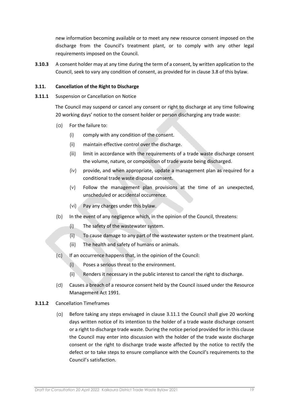new information becoming available or to meet any new resource consent imposed on the discharge from the Council's treatment plant, or to comply with any other legal requirements imposed on the Council.

**3.10.3** A consent holder may at any time during the term of a consent, by written application to the Council, seek to vary any condition of consent, as provided for in clause 3.8 of this bylaw.

## <span id="page-19-0"></span>**3.11. Cancellation of the Right to Discharge**

**3.11.1** Suspension or Cancellation on Notice

The Council may suspend or cancel any consent or right to discharge at any time following 20 working days' notice to the consent holder or person discharging any trade waste:

- (a) For the failure to:
	- (i) comply with any condition of the consent.
	- (ii) maintain effective control over the discharge.
	- (iii) limit in accordance with the requirements of a trade waste discharge consent the volume, nature, or composition of trade waste being discharged.
	- (iv) provide, and when appropriate, update a management plan as required for a conditional trade waste disposal consent.
	- (v) Follow the management plan provisions at the time of an unexpected, unscheduled or accidental occurrence.
	- (vi) Pay any charges under this bylaw.
- (b) In the event of any negligence which, in the opinion of the Council, threatens:
	- (i) The safety of the wastewater system.
	- (ii) To cause damage to any part of the wastewater system or the treatment plant.
	- (iii) The health and safety of humans or animals.
- $(c)$  If an occurrence happens that, in the opinion of the Council:
	- (i) Poses a serious threat to the environment.
	- (ii) Renders it necessary in the public interest to cancel the right to discharge.
- (d) Causes a breach of a resource consent held by the Council issued under the Resource Management Act 1991.
- **3.11.2** Cancellation Timeframes
	- (a) Before taking any steps envisaged in clause 3.11.1 the Council shall give 20 working days written notice of its intention to the holder of a trade waste discharge consent or a right to discharge trade waste. During the notice period provided for in this clause the Council may enter into discussion with the holder of the trade waste discharge consent or the right to discharge trade waste affected by the notice to rectify the defect or to take steps to ensure compliance with the Council's requirements to the Council's satisfaction.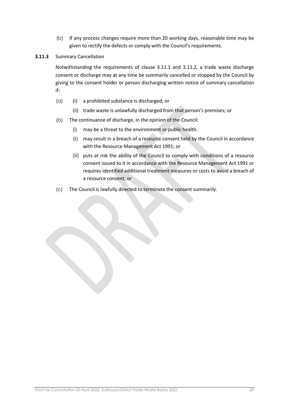(b) If any process changes require more than 20 working days, reasonable time may be given to rectify the defects or comply with the Council's requirements.

## **3.11.3** Summary Cancellation

Notwithstanding the requirements of clause 3.11.1 and 3.11.2, a trade waste discharge consent or discharge may at any time be summarily cancelled or stopped by the Council by giving to the consent holder or person discharging written notice of summary cancellation if:

- (a) (i) a prohibited substance is discharged; or
	- (ii) trade waste is unlawfully discharged from that person's premises; or
- (b) The continuance of discharge, in the opinion of the Council:
	- (i) may be a threat to the environment or public health.
	- (ii) may result in a breach of a resource consent held by the Council in accordance with the Resource Management Act 1991; or
	- (iii) puts at risk the ability of the Council to comply with conditions of a resource consent issued to it in accordance with the Resource Management Act 1991 or requires identified additional treatment measures or costs to avoid a breach of a resource consent; or
- (c) The Council is lawfully directed to terminate the consent summarily.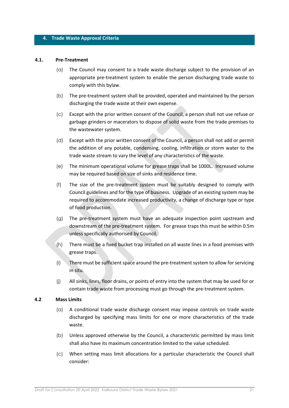#### <span id="page-21-0"></span>**4. Trade Waste Approval Criteria**

#### **4.1. Pre-Treatment**

- <span id="page-21-1"></span>(a) The Council may consent to a trade waste discharge subject to the provision of an appropriate pre-treatment system to enable the person discharging trade waste to comply with this bylaw.
- (b) The pre-treatment system shall be provided, operated and maintained by the person discharging the trade waste at their own expense.
- (c) Except with the prior written consent of the Council, a person shall not use refuse or garbage grinders or macerators to dispose of solid waste from the trade premises to the wastewater system.
- (d) Except with the prior written consent of the Council, a person shall not add or permit the addition of any potable, condensing, cooling, infiltration or storm water to the trade waste stream to vary the level of any characteristics of the waste.
- (e) The minimum operational volume for grease traps shall be 1000L. Increased volume may be required based on size of sinks and residence time.
- (f) The size of the pre-treatment system must be suitably designed to comply with Council guidelines and for the type of business. Upgrade of an existing system may be required to accommodate increased productivity, a change of discharge type or type of food production.
- (g) The pre-treatment system must have an adequate inspection point upstream and downstream of the pre-treatment system. For grease traps this must be within 0.5m unless specifically authorised by Council.
- (h) There must be a fixed bucket trap installed on all waste lines in a food premises with grease traps.
- (i) There must be sufficient space around the pre-treatment system to allow for servicing in situ.
- (j) All sinks, lines, floor drains, or points of entry into the system that may be used for or contain trade waste from processing must go through the pre-treatment system.

#### <span id="page-21-2"></span>**4.2 Mass Limits**

- (a) A conditional trade waste discharge consent may impose controls on trade waste discharged by specifying mass limits for one or more characteristics of the trade waste.
- (b) Unless approved otherwise by the Council, a characteristic permitted by mass limit shall also have its maximum concentration limited to the value scheduled.
- (c) When setting mass limit allocations for a particular characteristic the Council shall consider: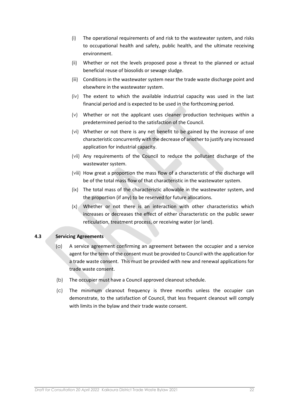- (i) The operational requirements of and risk to the wastewater system, and risks to occupational health and safety, public health, and the ultimate receiving environment.
- (ii) Whether or not the levels proposed pose a threat to the planned or actual beneficial reuse of biosolids or sewage sludge.
- (iii) Conditions in the wastewater system near the trade waste discharge point and elsewhere in the wastewater system.
- (iv) The extent to which the available industrial capacity was used in the last financial period and is expected to be used in the forthcoming period.
- (v) Whether or not the applicant uses cleaner production techniques within a predetermined period to the satisfaction of the Council.
- (vi) Whether or not there is any net benefit to be gained by the increase of one characteristic concurrently with the decrease of another to justify any increased application for industrial capacity.
- (vii) Any requirements of the Council to reduce the pollutant discharge of the wastewater system.
- (viii) How great a proportion the mass flow of a characteristic of the discharge will be of the total mass flow of that characteristic in the wastewater system.
- (ix) The total mass of the characteristic allowable in the wastewater system, and the proportion (if any) to be reserved for future allocations.
- (x) Whether or not there is an interaction with other characteristics which increases or decreases the effect of either characteristic on the public sewer reticulation, treatment process, or receiving water (or land).

## <span id="page-22-0"></span>**4.3 Servicing Agreements**

- (a) A service agreement confirming an agreement between the occupier and a service agent for the term of the consent must be provided to Council with the application for a trade waste consent. This must be provided with new and renewal applications for trade waste consent.
- (b) The occupier must have a Council approved cleanout schedule.
- (c) The minimum cleanout frequency is three months unless the occupier can demonstrate, to the satisfaction of Council, that less frequent cleanout will comply with limits in the bylaw and their trade waste consent.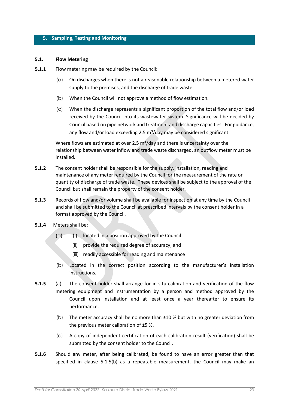#### <span id="page-23-0"></span>**5. Sampling, Testing and Monitoring**

#### <span id="page-23-1"></span>**5.1. Flow Metering**

- **5.1.1** Flow metering may be required by the Council:
	- (a) On discharges when there is not a reasonable relationship between a metered water supply to the premises, and the discharge of trade waste.
	- (b) When the Council will not approve a method of flow estimation.
	- (c) When the discharge represents a significant proportion of the total flow and/or load received by the Council into its wastewater system. Significance will be decided by Council based on pipe network and treatment and discharge capacities. For guidance, any flow and/or load exceeding 2.5  $m^3$ /day may be considered significant.

Where flows are estimated at over 2.5  $m^3$ /day and there is uncertainty over the relationship between water inflow and trade waste discharged, an outflow meter must be installed.

- **5.1.2** The consent holder shall be responsible for the supply, installation, reading and maintenance of any meter required by the Council for the measurement of the rate or quantity of discharge of trade waste. These devices shall be subject to the approval of the Council but shall remain the property of the consent holder.
- **5.1.3** Records of flow and/or volume shall be available for inspection at any time by the Council and shall be submitted to the Council at prescribed intervals by the consent holder in a format approved by the Council.
- **5.1.4** Meters shall be:
	- $(a)$  (i) located in a position approved by the Council
		- (ii) provide the required degree of accuracy; and
		- (iii) readily accessible for reading and maintenance
	- (b) Located in the correct position according to the manufacturer's installation instructions.
- **5.1.5** (a) The consent holder shall arrange for in situ calibration and verification of the flow metering equipment and instrumentation by a person and method approved by the Council upon installation and at least once a year thereafter to ensure its performance.
	- (b) The meter accuracy shall be no more than ±10 % but with no greater deviation from the previous meter calibration of ±5 %.
	- (c) A copy of independent certification of each calibration result (verification) shall be submitted by the consent holder to the Council.
- **5.1.6** Should any meter, after being calibrated, be found to have an error greater than that specified in clause 5.1.5(b) as a repeatable measurement, the Council may make an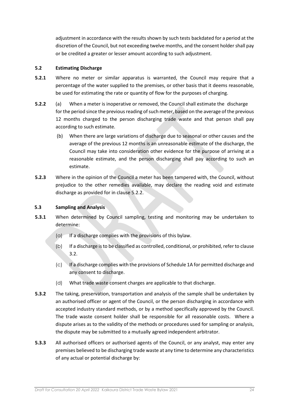adjustment in accordance with the results shown by such tests backdated for a period at the discretion of the Council, but not exceeding twelve months, and the consent holder shall pay or be credited a greater or lesser amount according to such adjustment.

## <span id="page-24-0"></span>**5.2 Estimating Discharge**

- **5.2.1** Where no meter or similar apparatus is warranted, the Council may require that a percentage of the water supplied to the premises, or other basis that it deems reasonable, be used for estimating the rate or quantity of flow for the purposes of charging.
- **5.2.2** (a) When a meter is inoperative or removed, the Council shall estimate the discharge for the period since the previous reading of such meter, based on the average of the previous 12 months charged to the person discharging trade waste and that person shall pay according to such estimate.
	- (b) When there are large variations of discharge due to seasonal or other causes and the average of the previous 12 months is an unreasonable estimate of the discharge, the Council may take into consideration other evidence for the purpose of arriving at a reasonable estimate, and the person discharging shall pay according to such an estimate.
- **5.2.3** Where in the opinion of the Council a meter has been tampered with, the Council, without prejudice to the other remedies available, may declare the reading void and estimate discharge as provided for in clause 5.2.2.

## <span id="page-24-1"></span>**5.3 Sampling and Analysis**

- **5.3.1** When determined by Council sampling, testing and monitoring may be undertaken to determine:
	- $(a)$  If a discharge complies with the provisions of this bylaw.
	- (b) If a discharge is to be classified as controlled, conditional, or prohibited, refer to clause 3.2.
	- (c) If a discharge complies with the provisions of Schedule 1A for permitted discharge and any consent to discharge.
	- (d) What trade waste consent charges are applicable to that discharge.
- **5.3.2** The taking, preservation, transportation and analysis of the sample shall be undertaken by an authorised officer or agent of the Council, or the person discharging in accordance with accepted industry standard methods, or by a method specifically approved by the Council. The trade waste consent holder shall be responsible for all reasonable costs. Where a dispute arises as to the validity of the methods or procedures used for sampling or analysis, the dispute may be submitted to a mutually agreed independent arbitrator.
- **5.3.3** All authorised officers or authorised agents of the Council, or any analyst, may enter any premises believed to be discharging trade waste at any time to determine any characteristics of any actual or potential discharge by: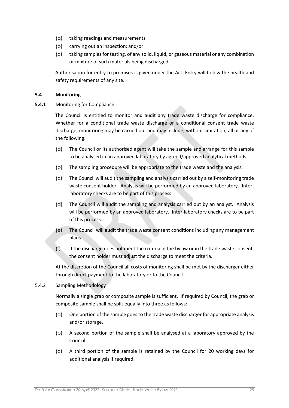- (a) taking readings and measurements
- (b) carrying out an inspection; and/or
- (c) taking samples for testing, of any solid, liquid, or gaseous material or any combination or mixture of such materials being discharged.

Authorisation for entry to premises is given under the Act. Entry will follow the health and safety requirements of any site.

## <span id="page-25-0"></span>**5.4 Monitoring**

**5.4.1** Monitoring for Compliance

The Council is entitled to monitor and audit any trade waste discharge for compliance. Whether for a conditional trade waste discharge or a conditional consent trade waste discharge, monitoring may be carried out and may include, without limitation, all or any of the following:

- (a) The Council or its authorised agent will take the sample and arrange for this sample to be analysed in an approved laboratory by agreed/approved analytical methods.
- (b) The sampling procedure will be appropriate to the trade waste and the analysis.
- (c) The Council will audit the sampling and analysis carried out by a self-monitoring trade waste consent holder. Analysis will be performed by an approved laboratory. Interlaboratory checks are to be part of this process.
- (d) The Council will audit the sampling and analysis carried out by an analyst. Analysis will be performed by an approved laboratory. Inter-laboratory checks are to be part of this process.
- (e) The Council will audit the trade waste consent conditions including any management plans.
- (f) If the discharge does not meet the criteria in the bylaw or in the trade waste consent, the consent holder must adjust the discharge to meet the criteria.

At the discretion of the Council all costs of monitoring shall be met by the discharger either through direct payment to the laboratory or to the Council.

5.4.2 Sampling Methodology

Normally a single grab or composite sample is sufficient. If required by Council, the grab or composite sample shall be split equally into three as follows:

- (a) One portion of the sample goes to the trade waste discharger for appropriate analysis and/or storage.
- (b) A second portion of the sample shall be analysed at a laboratory approved by the Council.
- (c) A third portion of the sample is retained by the Council for 20 working days for additional analysis if required.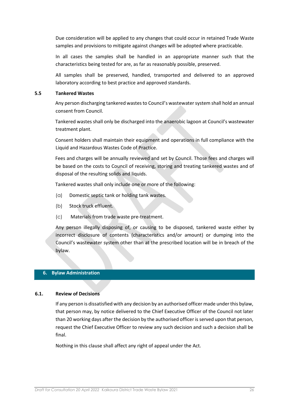Due consideration will be applied to any changes that could occur in retained Trade Waste samples and provisions to mitigate against changes will be adopted where practicable.

In all cases the samples shall be handled in an appropriate manner such that the characteristics being tested for are, as far as reasonably possible, preserved.

All samples shall be preserved, handled, transported and delivered to an approved laboratory according to best practice and approved standards.

#### <span id="page-26-0"></span>**5.5 Tankered Wastes**

Any person discharging tankered wastes to Council's wastewater system shall hold an annual consent from Council.

Tankered wastes shall only be discharged into the anaerobic lagoon at Council's wastewater treatment plant.

Consent holders shall maintain their equipment and operations in full compliance with the Liquid and Hazardous Wastes Code of Practice.

Fees and charges will be annually reviewed and set by Council. Those fees and charges will be based on the costs to Council of receiving, storing and treating tankered wastes and of disposal of the resulting solids and liquids.

Tankered wastes shall only include one or more of the following:

- (a) Domestic septic tank or holding tank wastes.
- (b) Stock truck effluent.
- (c) Materials from trade waste pre-treatment.

Any person illegally disposing of, or causing to be disposed, tankered waste either by incorrect disclosure of contents (characteristics and/or amount) or dumping into the Council's wastewater system other than at the prescribed location will be in breach of the bylaw.

## <span id="page-26-1"></span>**6. Bylaw Administration**

## **6.1. Review of Decisions**

<span id="page-26-2"></span>If any person is dissatisfied with any decision by an authorised officer made under this bylaw, that person may, by notice delivered to the Chief Executive Officer of the Council not later than 20 working days after the decision by the authorised officer is served upon that person, request the Chief Executive Officer to review any such decision and such a decision shall be final.

Nothing in this clause shall affect any right of appeal under the Act.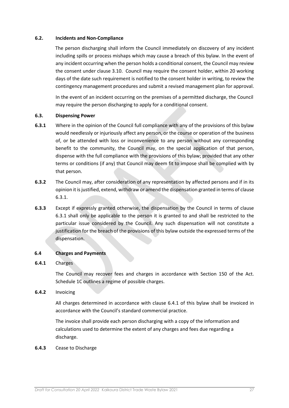## <span id="page-27-0"></span>**6.2. Incidents and Non-Compliance**

The person discharging shall inform the Council immediately on discovery of any incident including spills or process mishaps which may cause a breach of this bylaw. In the event of any incident occurring when the person holds a conditional consent, the Council may review the consent under clause 3.10. Council may require the consent holder, within 20 working days of the date such requirement is notified to the consent holder in writing, to review the contingency management procedures and submit a revised management plan for approval.

In the event of an incident occurring on the premises of a permitted discharge, the Council may require the person discharging to apply for a conditional consent.

#### <span id="page-27-1"></span>**6.3. Dispensing Power**

- **6.3.1** Where in the opinion of the Council full compliance with any of the provisions of this bylaw would needlessly or injuriously affect any person, or the course or operation of the business of, or be attended with loss or inconvenience to any person without any corresponding benefit to the community, the Council may, on the special application of that person, dispense with the full compliance with the provisions of this bylaw; provided that any other terms or conditions (if any) that Council may deem fit to impose shall be complied with by that person.
- **6.3.2** The Council may, after consideration of any representation by affected persons and if in its opinion it is justified, extend, withdraw or amend the dispensation granted in terms of clause 6.3.1.
- **6.3.3** Except if expressly granted otherwise, the dispensation by the Council in terms of clause 6.3.1 shall only be applicable to the person it is granted to and shall be restricted to the particular issue considered by the Council. Any such dispensation will not constitute a justification for the breach of the provisions of this bylaw outside the expressed terms of the dispensation.

#### <span id="page-27-2"></span>**6.4 Charges and Payments**

## **6.4.1** Charges

The Council may recover fees and charges in accordance with Section 150 of the Act. Schedule 1C outlines a regime of possible charges.

#### **6.4.2** Invoicing

All charges determined in accordance with clause 6.4.1 of this bylaw shall be invoiced in accordance with the Council's standard commercial practice.

The invoice shall provide each person discharging with a copy of the information and calculations used to determine the extent of any charges and fees due regarding a discharge.

#### **6.4.3** Cease to Discharge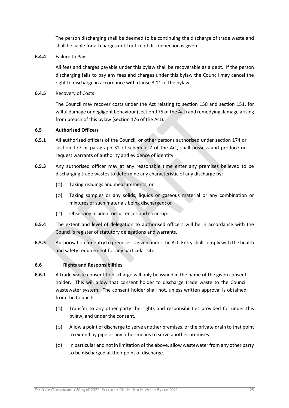The person discharging shall be deemed to be continuing the discharge of trade waste and shall be liable for all charges until notice of disconnection is given.

## **6.4.4** Failure to Pay

All fees and charges payable under this bylaw shall be recoverable as a debt. If the person discharging fails to pay any fees and charges under this bylaw the Council may cancel the right to discharge in accordance with clause 3.11 of the bylaw.

**6.4.5** Recovery of Costs

The Council may recover costs under the Act relating to section 150 and section 151, for wilful damage or negligent behaviour (section 175 of the Act) and remedying damage arising from breach of this bylaw (section 176 of the Act).

## <span id="page-28-0"></span>**6.5 Authorised Officers**

- **6.5.1** All authorised officers of the Council, or other persons authorised under section 174 or section 177 or paragraph 32 of schedule 7 of the Act, shall possess and produce on request warrants of authority and evidence of identity.
- **6.5.3** Any authorised officer may at any reasonable time enter any premises believed to be discharging trade wastes to determine any characteristic of any discharge by:
	- (a) Taking readings and measurements; or
	- (b) Taking samples or any solids, liquids or gaseous material or any combination or mixtures of such materials being discharged; or
	- (c) Observing incident occurrences and clean-up.
- **6.5.4** The extent and level of delegation to authorised officers will be in accordance with the Council's register of statutory delegations and warrants.
- **6.5.5** Authorisation for entry to premises is given under the Act. Entry shall comply with the health and safety requirement for any particular site.

## <span id="page-28-1"></span>**6.6 Rights and Responsibilities**

- **6.6.1** A trade waste consent to discharge will only be issued in the name of the given consent holder. This will allow that consent holder to discharge trade waste to the Council wastewater system. The consent holder shall not, unless written approval is obtained from the Council:
	- (a) Transfer to any other party the rights and responsibilities provided for under this bylaw, and under the consent.
	- (b) Allow a point of discharge to serve another premises, or the private drain to that point to extend by pipe or any other means to serve another premises.
	- (c) In particular and not in limitation of the above, allow wastewater from any other party to be discharged at their point of discharge.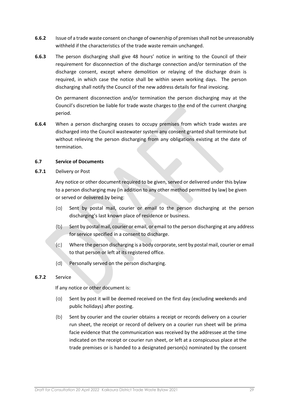- **6.6.2** Issue of a trade waste consent on change of ownership of premises shall not be unreasonably withheld if the characteristics of the trade waste remain unchanged.
- **6.6.3** The person discharging shall give 48 hours' notice in writing to the Council of their requirement for disconnection of the discharge connection and/or termination of the discharge consent, except where demolition or relaying of the discharge drain is required, in which case the notice shall be within seven working days. The person discharging shall notify the Council of the new address details for final invoicing.

On permanent disconnection and/or termination the person discharging may at the Council's discretion be liable for trade waste charges to the end of the current charging period.

**6.6.4** When a person discharging ceases to occupy premises from which trade wastes are discharged into the Council wastewater system any consent granted shall terminate but without relieving the person discharging from any obligations existing at the date of termination.

## <span id="page-29-0"></span>**6.7 Service of Documents**

**6.7.1** Delivery or Post

Any notice or other document required to be given, served or delivered under this bylaw to a person discharging may (in addition to any other method permitted by law) be given or served or delivered by being:

- (a) Sent by postal mail, courier or email to the person discharging at the person discharging's last known place of residence or business.
- (b) Sent by postal mail, courier or email, or email to the person discharging at any address for service specified in a consent to discharge.
- (c) Where the person discharging is a body corporate, sent by postal mail, courier or email to that person or left at its registered office.
- (d) Personally served on the person discharging.

## **6.7.2** Service

If any notice or other document is:

- (a) Sent by post it will be deemed received on the first day (excluding weekends and public holidays) after posting.
- (b) Sent by courier and the courier obtains a receipt or records delivery on a courier run sheet, the receipt or record of delivery on a courier run sheet will be prima facie evidence that the communication was received by the addressee at the time indicated on the receipt or courier run sheet, or left at a conspicuous place at the trade premises or is handed to a designated person(s) nominated by the consent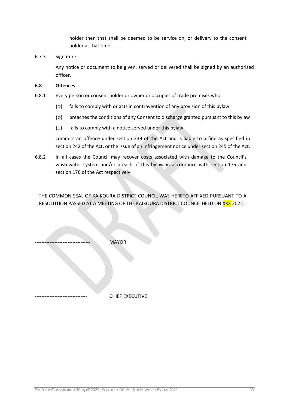holder then that shall be deemed to be service on, or delivery to the consent holder at that time.

## 6.7.3 Signature

 Any notice or document to be given, served or delivered shall be signed by an authorised officer.

#### <span id="page-30-0"></span>**6.8 Offences**

- 6.8.1 Every person or consent holder or owner or occupier of trade premises who:
	- (a) fails to comply with or acts in contravention of any provision of this bylaw
	- (b) breaches the conditions of any Consent to discharge granted pursuant to this bylaw
	- (c) fails to comply with a notice served under this bylaw

commits an offence under section 239 of the Act and is liable to a fine as specified in section 242 of the Act, or the issue of an Infringement notice under section 245 of the Act.

6.8.2 In all cases the Council may recover costs associated with damage to the Council's wastewater system and/or breach of this bylaw in accordance with section 175 and section 176 of the Act respectively.

THE COMMON SEAL OF KAIKOURA DISTRICT COUNCIL WAS HERETO AFFIXED PURSUANT TO A RESOLUTION PASSED AT A MEETING OF THE KAIKOURA DISTRICT COUNCIL HELD ON XXX 2022.

MAYOR

CHIEF EXECUTIVE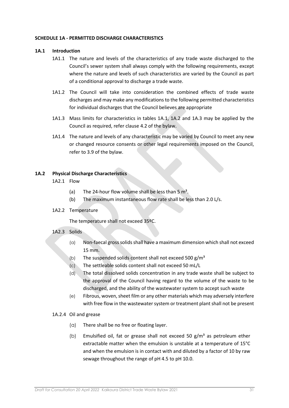#### <span id="page-31-0"></span>**SCHEDULE 1A - PERMITTED DISCHARGE CHARACTERISTICS**

## <span id="page-31-1"></span>**1A.1 Introduction**

- 1A1.1 The nature and levels of the characteristics of any trade waste discharged to the Council's sewer system shall always comply with the following requirements, except where the nature and levels of such characteristics are varied by the Council as part of a conditional approval to discharge a trade waste.
- 1A1.2 The Council will take into consideration the combined effects of trade waste discharges and may make any modifications to the following permitted characteristics for individual discharges that the Council believes are appropriate
- 1A1.3 Mass limits for characteristics in tables 1A.1, 1A.2 and 1A.3 may be applied by the Council as required, refer clause 4.2 of the bylaw.
- 1A1.4 The nature and levels of any characteristic may be varied by Council to meet any new or changed resource consents or other legal requirements imposed on the Council, refer to 3.9 of the bylaw.

## <span id="page-31-2"></span>**1A.2 Physical Discharge Characteristics**

- 1A2.1 Flow
	- (a) The 24-hour flow volume shall be less than  $5 \text{ m}^3$ .
	- (b) The maximum instantaneous flow rate shall be less than 2.0 L/s.
- 1A2.2 Temperature

The temperature shall not exceed 35ºC.

## 1A2.3 Solids

- (a) Non-faecal gross solids shall have a maximum dimension which shall not exceed 15 mm.
- (b) The suspended solids content shall not exceed 500  $g/m<sup>3</sup>$
- (c) The settleable solids content shall not exceed 50 mL/L
- (d) The total dissolved solids concentration in any trade waste shall be subject to the approval of the Council having regard to the volume of the waste to be discharged, and the ability of the wastewater system to accept such waste
- (e) Fibrous, woven, sheet film or any other materials which may adversely interfere with free flow in the wastewater system or treatment plant shall not be present

## 1A.2.4 Oil and grease

- (a) There shall be no free or floating layer.
- (b) Emulsified oil, fat or grease shall not exceed 50  $g/m<sup>3</sup>$  as petroleum ether extractable matter when the emulsion is unstable at a temperature of 15°C and when the emulsion is in contact with and diluted by a factor of 10 by raw sewage throughout the range of pH 4.5 to pH 10.0.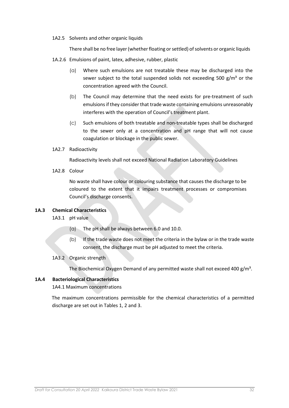1A2.5 Solvents and other organic liquids

There shall be no free layer (whether floating or settled) of solvents or organic liquids

- 1A.2.6 Emulsions of paint, latex, adhesive, rubber, plastic
	- (a) Where such emulsions are not treatable these may be discharged into the sewer subject to the total suspended solids not exceeding 500  $g/m<sup>3</sup>$  or the concentration agreed with the Council.
	- (b) The Council may determine that the need exists for pre-treatment of such emulsions if they consider that trade waste containing emulsions unreasonably interferes with the operation of Council's treatment plant.
	- (c) Such emulsions of both treatable and non-treatable types shall be discharged to the sewer only at a concentration and pH range that will not cause coagulation or blockage in the public sewer.
- 1A2.7 Radioactivity

Radioactivity levels shall not exceed National Radiation Laboratory Guidelines

1A2.8 Colour

No waste shall have colour or colouring substance that causes the discharge to be coloured to the extent that it impairs treatment processes or compromises Council's discharge consents.

## <span id="page-32-0"></span>**1A.3 Chemical Characteristics**

- 1A3.1 pH value
	- (a) The pH shall be always between 6.0 and 10.0.
	- (b) If the trade waste does not meet the criteria in the bylaw or in the trade waste consent, the discharge must be pH adjusted to meet the criteria.

## 1A3.2 Organic strength

The Biochemical Oxygen Demand of any permitted waste shall not exceed 400  $g/m<sup>3</sup>$ .

## <span id="page-32-1"></span>**1A.4 Bacteriological Characteristics**

## 1A4.1 Maximum concentrations

The maximum concentrations permissible for the chemical characteristics of a permitted discharge are set out in Tables 1, 2 and 3.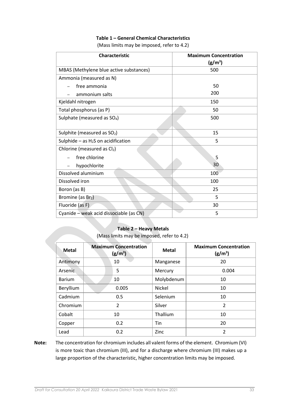## **Table 1 – General Chemical Characteristics**

(Mass limits may be imposed, refer to 4.2)

| <b>Characteristic</b>                   | <b>Maximum Concentration</b><br>$(g/m^3)$ |
|-----------------------------------------|-------------------------------------------|
| MBAS (Methylene blue active substances) | 500                                       |
| Ammonia (measured as N)                 |                                           |
| free ammonia                            | 50                                        |
| ammonium salts                          | 200                                       |
| Kjeldahl nitrogen                       | 150                                       |
| Total phosphorus (as P)                 | 50                                        |
| Sulphate (measured as SO <sub>4</sub> ) | 500                                       |
|                                         |                                           |
| Sulphite (measured as SO <sub>2</sub> ) | 15                                        |
| Sulphide $-$ as $H_2S$ on acidification | 5                                         |
| Chlorine (measured as $Cl2$ )           |                                           |
| free chlorine                           | 5                                         |
| hypochlorite                            | 30                                        |
| Dissolved aluminium                     | 100                                       |
| Dissolved iron                          | 100                                       |
| Boron (as B)                            | 25                                        |
| Bromine (as Br2)                        | 5                                         |
| Fluoride (as F)                         | 30                                        |
| Cyanide - weak acid dissociable (as CN) | 5                                         |

#### **Table 2 – Heavy Metals**

(Mass limits may be imposed, refer to 4.2)

| <b>Metal</b>  | <b>Maximum Concentration</b><br>(g/m <sup>3</sup> ) | <b>Metal</b>  | <b>Maximum Concentration</b><br>$(g/m^3)$ |
|---------------|-----------------------------------------------------|---------------|-------------------------------------------|
| Antimony      | 10                                                  | Manganese     | 20                                        |
| Arsenic       | 5                                                   | Mercury       | 0.004                                     |
| <b>Barium</b> | 10                                                  | Molybdenum    | 10                                        |
| Beryllium     | 0.005                                               | <b>Nickel</b> | 10                                        |
| Cadmium       | 0.5                                                 | Selenium      | 10                                        |
| Chromium      | $\overline{2}$                                      | Silver        | $\mathcal{P}$                             |
| Cobalt        | 10                                                  | Thallium      | 10                                        |
| Copper        | 0.2                                                 | Tin           | 20                                        |
| Lead          | 0.2                                                 | Zinc          | 2                                         |

**Note:** The concentration for chromium includes all valent forms of the element. Chromium (VI) is more toxic than chromium (III), and for a discharge where chromium (III) makes up a large proportion of the characteristic, higher concentration limits may be imposed.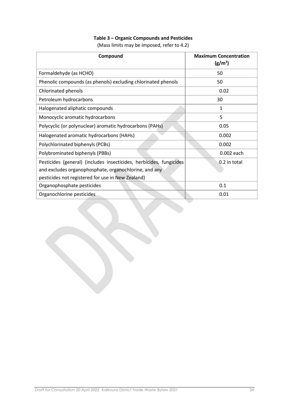# **Table 3 – Organic Compounds and Pesticides**

(Mass limits may be imposed, refer to 4.2)

| Compound                                                            | <b>Maximum Concentration</b><br>$(g/m^3)$ |
|---------------------------------------------------------------------|-------------------------------------------|
| Formaldehyde (as HCHO)                                              | 50                                        |
| Phenolic compounds (as phenols) excluding chlorinated phenols       | 50                                        |
| Chlorinated phenols                                                 | 0.02                                      |
| Petroleum hydrocarbons                                              | 30                                        |
| Halogenated aliphatic compounds                                     | 1                                         |
| Monocyclic aromatic hydrocarbons                                    | 5                                         |
| Polycyclic (or polynuclear) aromatic hydrocarbons (PAHs)            | 0.05                                      |
| Halogenated aromatic hydrocarbons (HAHs)                            | 0.002                                     |
| Polychlorinated biphenyls (PCBs)                                    | 0.002                                     |
| Polybrominated biphenyls (PBBs)                                     | 0.002 each                                |
| Pesticides (general) (includes insecticides, herbicides, fungicides | 0.2 in total                              |
| and excludes organophosphate, organochlorine, and any               |                                           |
| pesticides not registered for use in New Zealand)                   |                                           |
| Organophosphate pesticides                                          | 0.1                                       |
| Organochlorine pesticides                                           | 0.01                                      |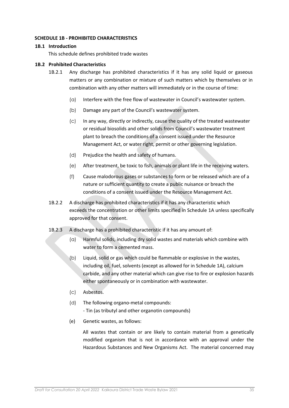#### <span id="page-35-0"></span>**SCHEDULE 1B - PROHIBITED CHARACTERISTICS**

#### <span id="page-35-1"></span>**1B.1 Introduction**

This schedule defines prohibited trade wastes

#### <span id="page-35-2"></span>**1B.2 Prohibited Characteristics**

- 1B.2.1 Any discharge has prohibited characteristics if it has any solid liquid or gaseous matters or any combination or mixture of such matters which by themselves or in combination with any other matters will immediately or in the course of time:
	- (a) Interfere with the free flow of wastewater in Council's wastewater system.
	- (b) Damage any part of the Council's wastewater system.
	- (c) In any way, directly or indirectly, cause the quality of the treated wastewater or residual biosolids and other solids from Council's wastewater treatment plant to breach the conditions of a consent issued under the Resource Management Act, or water right, permit or other governing legislation.
	- (d) Prejudice the health and safety of humans.
	- (e) After treatment, be toxic to fish, animals or plant life in the receiving waters.
	- (f) Cause malodorous gases or substances to form or be released which are of a nature or sufficient quantity to create a public nuisance or breach the conditions of a consent issued under the Resource Management Act.
- 1B.2.2 A discharge has prohibited characteristics if it has any characteristic which exceeds the concentration or other limits specified in Schedule 1A unless specifically approved for that consent.
- 1B.2.3 A discharge has a prohibited characteristic if it has any amount of:
	- (a) Harmful solids, including dry solid wastes and materials which combine with water to form a cemented mass.
	- (b) Liquid, solid or gas which could be flammable or explosive in the wastes, including oil, fuel, solvents (except as allowed for in Schedule 1A), calcium carbide, and any other material which can give rise to fire or explosion hazards either spontaneously or in combination with wastewater.
	- (c) Asbestos.
	- (d) The following organo-metal compounds: - Tin (as tributyl and other organotin compounds)
	- (e) Genetic wastes, as follows:

All wastes that contain or are likely to contain material from a genetically modified organism that is not in accordance with an approval under the Hazardous Substances and New Organisms Act. The material concerned may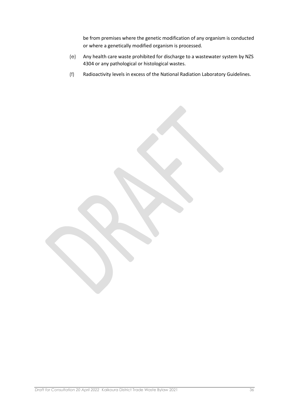be from premises where the genetic modification of any organism is conducted or where a genetically modified organism is processed.

- (e) Any health care waste prohibited for discharge to a wastewater system by NZS 4304 or any pathological or histological wastes.
- (f) Radioactivity levels in excess of the National Radiation Laboratory Guidelines.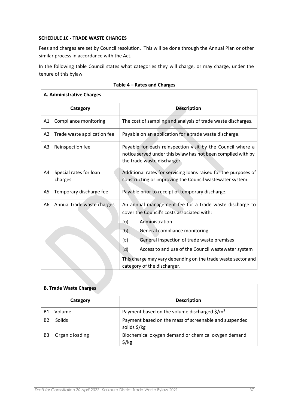## <span id="page-37-0"></span>**SCHEDULE 1C - TRADE WASTE CHARGES**

<span id="page-37-1"></span> $\overline{1}$ 

Fees and charges are set by Council resolution. This will be done through the Annual Plan or other similar process in accordance with the Act.

In the following table Council states what categories they will charge, or may charge, under the tenure of this bylaw.

| Category       |                                   | <b>Description</b>                                                                                                                                                                                                                                                                                                                                                                      |
|----------------|-----------------------------------|-----------------------------------------------------------------------------------------------------------------------------------------------------------------------------------------------------------------------------------------------------------------------------------------------------------------------------------------------------------------------------------------|
| Α1             | Compliance monitoring             | The cost of sampling and analysis of trade waste discharges.                                                                                                                                                                                                                                                                                                                            |
| A2             | Trade waste application fee       | Payable on an application for a trade waste discharge.                                                                                                                                                                                                                                                                                                                                  |
| A3             | Reinspection fee                  | Payable for each reinspection visit by the Council where a<br>notice served under this bylaw has not been complied with by<br>the trade waste discharger.                                                                                                                                                                                                                               |
| A4             | Special rates for loan<br>charges | Additional rates for servicing loans raised for the purposes of<br>constructing or improving the Council wastewater system.                                                                                                                                                                                                                                                             |
| A <sub>5</sub> | Temporary discharge fee           | Payable prior to receipt of temporary discharge.                                                                                                                                                                                                                                                                                                                                        |
| A <sub>6</sub> | Annual trade waste charges        | An annual management fee for a trade waste discharge to<br>cover the Council's costs associated with:<br>Administration<br>(a)<br>General compliance monitoring<br>(b)<br>General inspection of trade waste premises<br>(c)<br>Access to and use of the Council wastewater system<br>(d)<br>This charge may vary depending on the trade waste sector and<br>category of the discharger. |

## **Table 4 – Rates and Charges**

| <b>B. Trade Waste Charges</b> |                 |                                                                             |  |
|-------------------------------|-----------------|-----------------------------------------------------------------------------|--|
|                               | Category        | <b>Description</b>                                                          |  |
| Β1                            | Volume          | Payment based on the volume discharged $\frac{\epsilon}{2}$ /m <sup>3</sup> |  |
| <b>B2</b>                     | <b>Solids</b>   | Payment based on the mass of screenable and suspended<br>solids \$/kg       |  |
| B <sub>3</sub>                | Organic loading | Biochemical oxygen demand or chemical oxygen demand<br>$\frac{1}{2}$ /kg    |  |

٦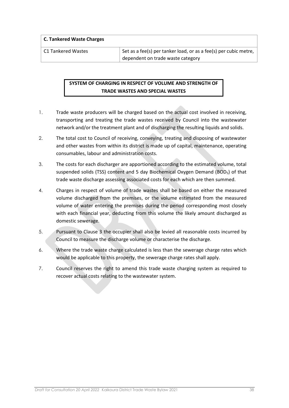**C. Tankered Waste Charges** 

C1 Tankered Wastes Set as a fee(s) per tanker load, or as a fee(s) per cubic metre, dependent on trade waste category

# **SYSTEM OF CHARGING IN RESPECT OF VOLUME AND STRENGTH OF TRADE WASTES AND SPECIAL WASTES**

- 1. Trade waste producers will be charged based on the actual cost involved in receiving, transporting and treating the trade wastes received by Council into the wastewater network and/or the treatment plant and of discharging the resulting liquids and solids.
- 2. The total cost to Council of receiving, conveying, treating and disposing of wastewater and other wastes from within its district is made up of capital, maintenance, operating consumables, labour and administration costs.
- 3. The costs for each discharger are apportioned according to the estimated volume, total suspended solids (TSS) content and 5 day Biochemical Oxygen Demand (BOD5) of that trade waste discharge assessing associated costs for each which are then summed.
- 4. Charges in respect of volume of trade wastes shall be based on either the measured volume discharged from the premises, or the volume estimated from the measured volume of water entering the premises during the period corresponding most closely with each financial year, deducting from this volume the likely amount discharged as domestic sewerage.
- 5. Pursuant to Clause 3 the occupier shall also be levied all reasonable costs incurred by Council to measure the discharge volume or characterise the discharge.
- 6. Where the trade waste charge calculated is less than the sewerage charge rates which would be applicable to this property, the sewerage charge rates shall apply.
- 7. Council reserves the right to amend this trade waste charging system as required to recover actual costs relating to the wastewater system.